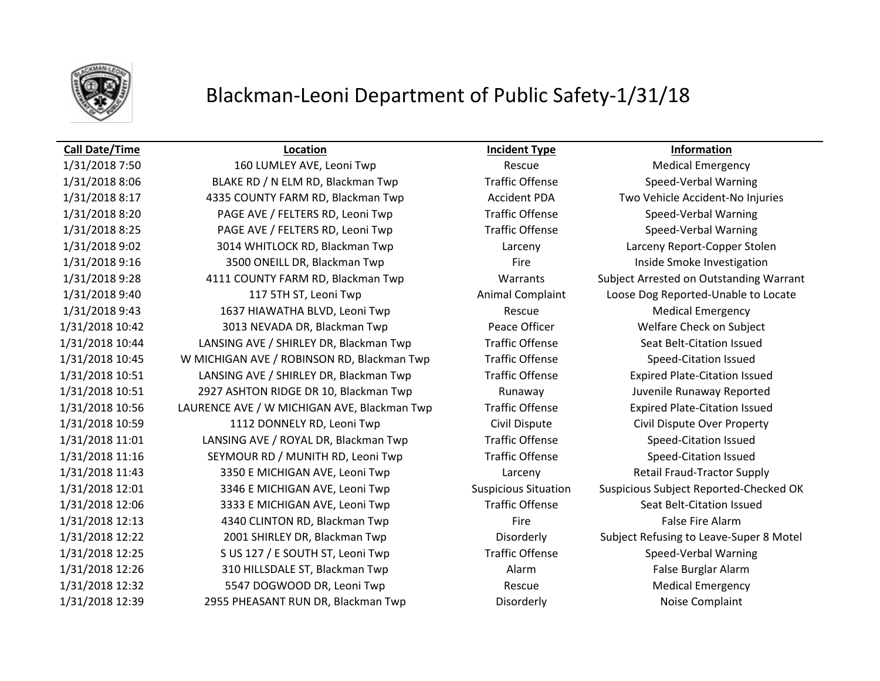

# Blackman-Leoni Department of Public Safety-1/31/18

### **Call Date/Time Location Incident Type Information**

1/31/2018 7:50 160 LUMLEY AVE, Leoni Twp Rescue Rescue Medical Emergency 1/31/2018 8:06 BLAKE RD / N ELM RD, Blackman Twp Traffic Offense Speed-Verbal Warning 1/31/2018 8:17 4335 COUNTY FARM RD, Blackman Twp Accident PDA Two Vehicle Accident-No Injuries 1/31/2018 8:20 PAGE AVE / FELTERS RD, Leoni Twp Traffic Offense Speed-Verbal Warning 1/31/2018 8:25 PAGE AVE / FELTERS RD, Leoni Twp Traffic Offense Speed-Verbal Warning 1/31/2018 9:02 3014 WHITLOCK RD, Blackman Twp Larceny Larceny Report-Copper Stolen 1/31/2018 9:16 3500 ONEILL DR, Blackman Twp Fire Fire Inside Smoke Investigation 1/31/2018 9:28 4111 COUNTY FARM RD, Blackman Twp Warrants Subject Arrested on Outstanding Warrant 1/31/2018 9:40 117 5TH ST, Leoni Twp Animal Complaint Loose Dog Reported-Unable to Locate 1/31/2018 9:43 1637 HIAWATHA BLVD, Leoni Twp Rescue Medical Emergency 1/31/2018 10:42 3013 NEVADA DR, Blackman Twp Peace Officer Welfare Check on Subject 1/31/2018 10:44 LANSING AVE / SHIRLEY DR, Blackman Twp Traffic Offense Seat Belt-Citation Issued 1/31/2018 10:45 W MICHIGAN AVE / ROBINSON RD, Blackman Twp Traffic Offense Speed-Citation Issued 1/31/2018 10:51 LANSING AVE / SHIRLEY DR, Blackman Twp Traffic Offense Expired Plate-Citation Issued 1/31/2018 10:51 2927 ASHTON RIDGE DR 10, Blackman Twp Runaway Juvenile Runaway Reported 1/31/2018 10:56 LAURENCE AVE / W MICHIGAN AVE, Blackman Twp Traffic Offense Expired Plate-Citation Issued 1/31/2018 10:59 1112 DONNELY RD, Leoni Twp Civil Dispute Civil Dispute Over Property 1/31/2018 11:01 LANSING AVE / ROYAL DR, Blackman Twp Traffic Offense Speed-Citation Issued 1/31/2018 11:16 SEYMOUR RD / MUNITH RD, Leoni Twp Traffic Offense Speed-Citation Issued 1/31/2018 11:43 3350 E MICHIGAN AVE, Leoni Twp Larceny Larceny Retail Fraud-Tractor Supply 1/31/2018 12:01 3346 E MICHIGAN AVE, Leoni Twp Suspicious Situation Suspicious Subject Reported-Checked OK 1/31/2018 12:06 3333 E MICHIGAN AVE, Leoni Twp Traffic Offense Seat Belt-Citation Issued 1/31/2018 12:13 4340 CLINTON RD, Blackman Twp Fire False Fire Alarm 1/31/2018 12:22 2001 SHIRLEY DR, Blackman Twp Disorderly Subject Refusing to Leave-Super 8 Motel 1/31/2018 12:25 S US 127 / E SOUTH ST, Leoni Twp Traffic Offense Speed-Verbal Warning 1/31/2018 12:26 310 HILLSDALE ST, Blackman Twp **Alarm Alarm False Burglar Alarm** False Burglar Alarm 1/31/2018 12:32 5547 DOGWOOD DR, Leoni Twp Rescue Rescue Medical Emergency 1/31/2018 12:39 2955 PHEASANT RUN DR, Blackman Twp Disorderly Disorderly Noise Complaint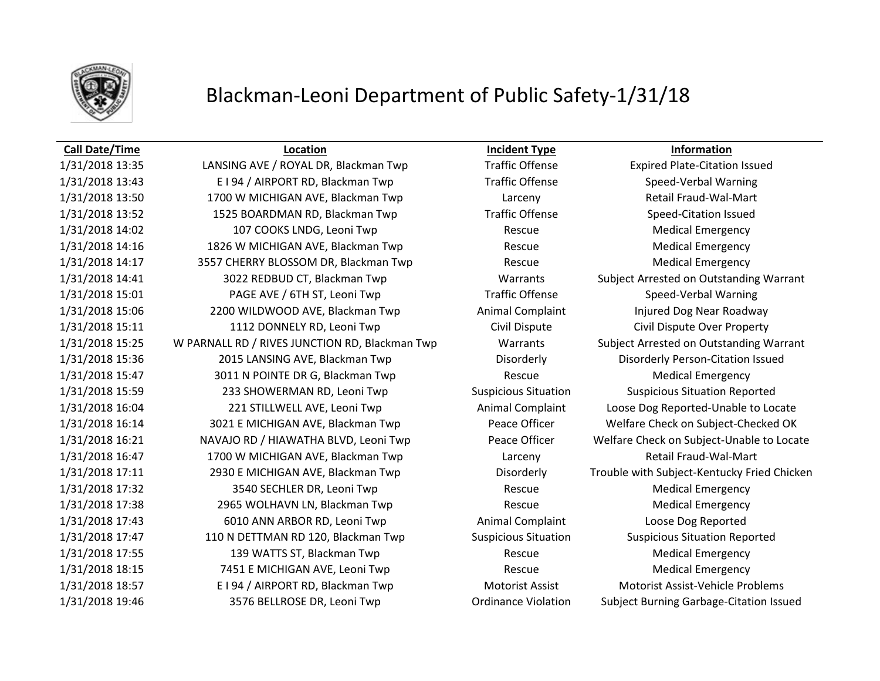

# Blackman-Leoni Department of Public Safety-1/31/18

### **Call Date/Time Location Incident Type Information**

1/31/2018 13:35 LANSING AVE / ROYAL DR, Blackman Twp Traffic Offense Expired Plate-Citation Issued 1/31/2018 13:43 E I 94 / AIRPORT RD, Blackman Twp Traffic Offense Speed-Verbal Warning 1/31/2018 13:50 1700 W MICHIGAN AVE, Blackman Twp Larceny Larceny Retail Fraud-Wal-Mart 1/31/2018 13:52 1525 BOARDMAN RD, Blackman Twp Traffic Offense Speed-Citation Issued 1/31/2018 14:02 107 COOKS LNDG, Leoni Twp Rescue Medical Emergency 1/31/2018 14:16 1826 W MICHIGAN AVE, Blackman Twp Rescue Rescue Medical Emergency 1/31/2018 14:17 3557 CHERRY BLOSSOM DR, Blackman Twp Rescue Rescue Medical Emergency 1/31/2018 14:41 3022 REDBUD CT, Blackman Twp Warrants Subject Arrested on Outstanding Warrant 1/31/2018 15:01 PAGE AVE / 6TH ST, Leoni Twp Traffic Offense Speed-Verbal Warning 1/31/2018 15:06 2200 WILDWOOD AVE, Blackman Twp **Animal Complaint** Injured Dog Near Roadway 1/31/2018 15:11 1112 DONNELY RD, Leoni Twp Civil Dispute Civil Dispute Over Property 1/31/2018 15:25 W PARNALL RD / RIVES JUNCTION RD, Blackman Twp Warrants Subject Arrested on Outstanding Warrant 1/31/2018 15:36 2015 LANSING AVE, Blackman Twp Disorderly Disorderly Person-Citation Issued 1/31/2018 15:47 3011 N POINTE DR G, Blackman Twp Rescue Medical Emergency 1/31/2018 15:59 233 SHOWERMAN RD, Leoni Twp Suspicious Situation Suspicious Situation Reported 1/31/2018 16:04 221 STILLWELL AVE, Leoni Twp Animal Complaint Loose Dog Reported-Unable to Locate 1/31/2018 16:14 3021 E MICHIGAN AVE, Blackman Twp Peace Officer Welfare Check on Subject-Checked OK 1/31/2018 16:21 NAVAJO RD / HIAWATHA BLVD, Leoni Twp Peace Officer Welfare Check on Subject-Unable to Locate 1/31/2018 16:47 1700 W MICHIGAN AVE, Blackman Twp Larceny Larceny Retail Fraud-Wal-Mart 1/31/2018 17:11 2930 E MICHIGAN AVE, Blackman Twp Disorderly Trouble with Subject-Kentucky Fried Chicken 1/31/2018 17:32 3540 SECHLER DR, Leoni Twp Rescue Medical Emergency 1/31/2018 17:38 2965 WOLHAVN LN, Blackman Twp Rescue Rescue Medical Emergency 1/31/2018 17:43 6010 ANN ARBOR RD, Leoni Twp Animal Complaint Loose Dog Reported 1/31/2018 17:47 110 N DETTMAN RD 120, Blackman Twp Suspicious Situation Suspicious Situation Reported 1/31/2018 17:55 139 WATTS ST, Blackman Twp Rescue Medical Emergency 1/31/2018 18:15 **7451 E MICHIGAN AVE, Leoni Twp** Rescue Rescue Medical Emergency 1/31/2018 18:57 E I 94 / AIRPORT RD, Blackman Twp Motorist Assist Motorist Assist-Vehicle Problems

1/31/2018 19:46 3576 BELLROSE DR, Leoni Twp Ordinance Violation Subject Burning Garbage-Citation Issued